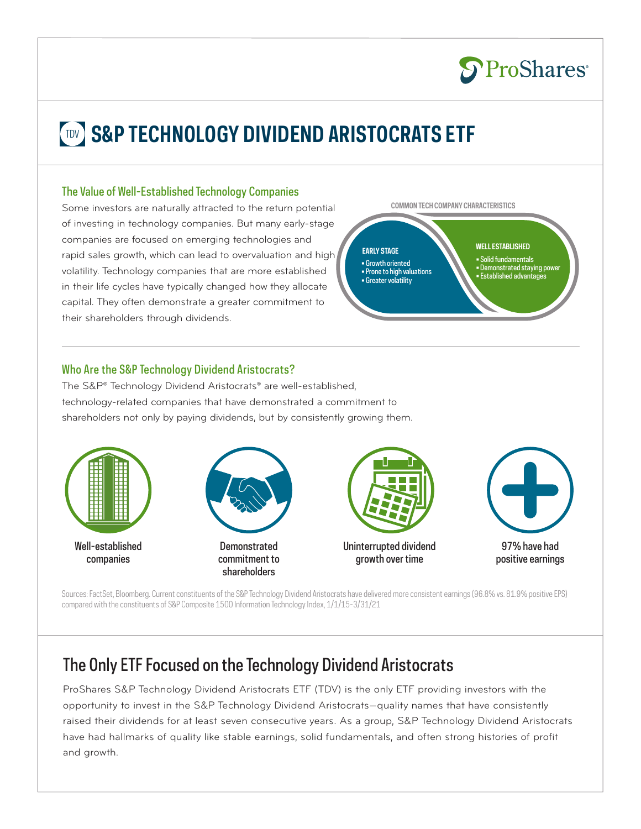

# **TDV** S&P TECHNOLOGY DIVIDEND ARISTOCRATS ETF

#### The Value of Well-Established Technology Companies

Some investors are naturally attracted to the return potential of investing in technology companies. But many early-stage companies are focused on emerging technologies and rapid sales growth, which can lead to overvaluation and high volatility. Technology companies that are more established in their life cycles have typically changed how they allocate capital. They often demonstrate a greater commitment to their shareholders through dividends.

**COMMON TECH COMPANY CHARACTERISTICS**



#### Who Are the S&P Technology Dividend Aristocrats?

The S&P® Technology Dividend Aristocrats® are well-established, technology-related companies that have demonstrated a commitment to shareholders not only by paying dividends, but by consistently growing them.



Sources: FactSet, Bloomberg. Current constituents of the S&P Technology Dividend Aristocrats have delivered more consistent earnings (96.8% vs. 81.9% positive EPS) compared with the constituents of S&P Composite 1500 Information Technology Index, 1/1/15-3/31/21

## The Only ETF Focused on the Technology Dividend Aristocrats

ProShares S&P Technology Dividend Aristocrats ETF (TDV) is the only ETF providing investors with the opportunity to invest in the S&P Technology Dividend Aristocrats—quality names that have consistently raised their dividends for at least seven consecutive years. As a group, S&P Technology Dividend Aristocrats have had hallmarks of quality like stable earnings, solid fundamentals, and often strong histories of profit and growth.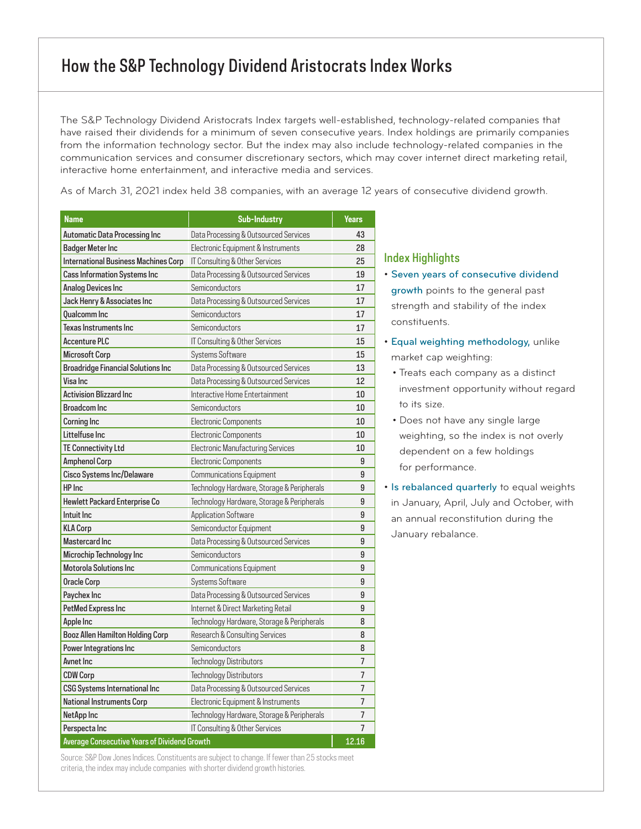## How the S&P Technology Dividend Aristocrats Index Works

The S&P Technology Dividend Aristocrats Index targets well-established, technology-related companies that have raised their dividends for a minimum of seven consecutive years. Index holdings are primarily companies from the information technology sector. But the index may also include technology-related companies in the communication services and consumer discretionary sectors, which may cover internet direct marketing retail, interactive home entertainment, and interactive media and services.

As of March 31, 2021 index held 38 companies, with an average 12 years of consecutive dividend growth.

| <b>Name</b>                                         | <b>Sub-Industry</b>                        | Years          |
|-----------------------------------------------------|--------------------------------------------|----------------|
| Automatic Data Processing Inc                       | Data Processing & Outsourced Services      | 43             |
| <b>Badger Meter Inc</b>                             | Electronic Equipment & Instruments         | 28             |
| <b>International Business Machines Corp</b>         | IT Consulting & Other Services             | 25             |
| <b>Cass Information Systems Inc</b>                 | Data Processing & Outsourced Services      | 19             |
| Analog Devices Inc                                  | Semiconductors                             | 17             |
| Jack Henry & Associates Inc                         | Data Processing & Outsourced Services      | 17             |
| <b>Qualcomm Inc</b>                                 | Semiconductors                             | 17             |
| Texas Instruments Inc                               | Semiconductors                             | 17             |
| <b>Accenture PLC</b>                                | IT Consulting & Other Services             | 15             |
| <b>Microsoft Corp</b>                               | Systems Software                           | 15             |
| <b>Broadridge Financial Solutions Inc</b>           | Data Processing & Outsourced Services      | 13             |
| Visa Inc                                            | Data Processing & Outsourced Services      | 12             |
| <b>Activision Blizzard Inc</b>                      | Interactive Home Entertainment             | 10             |
| <b>Broadcom Inc</b>                                 | Semiconductors                             | 10             |
| <b>Corning Inc</b>                                  | Electronic Components                      | 10             |
| Littelfuse Inc                                      | <b>Electronic Components</b>               | 10             |
| TE Connectivity Ltd                                 | Electronic Manufacturing Services          | 10             |
| <b>Amphenol Corp</b>                                | <b>Electronic Components</b>               | 9              |
| Cisco Systems Inc/Delaware                          | <b>Communications Equipment</b>            | 9              |
| HP Inc                                              | Technology Hardware, Storage & Peripherals | 9              |
| Hewlett Packard Enterprise Co                       | Technology Hardware, Storage & Peripherals | 9              |
| Intuit Inc.                                         | <b>Application Software</b>                | 9              |
| <b>KLA Corp</b>                                     | Semiconductor Equipment                    | 9              |
| <b>Mastercard Inc</b>                               | Data Processing & Outsourced Services      | 9              |
| Microchip Technology Inc                            | Semiconductors                             | 9              |
| <b>Motorola Solutions Inc.</b>                      | <b>Communications Equipment</b>            | 9              |
| <b>Oracle Corp</b>                                  | Systems Software                           | 9              |
| Paychex Inc                                         | Data Processing & Outsourced Services      | 9              |
| PetMed Express Inc                                  | Internet & Direct Marketing Retail         | 9              |
| Apple Inc                                           | Technology Hardware, Storage & Peripherals | 8              |
| Booz Allen Hamilton Holding Corp                    | Research & Consulting Services             | 8              |
| Power Integrations Inc                              | Semiconductors                             | 8              |
| Avnet Inc                                           | Technology Distributors                    | 7              |
| <b>CDW Corp</b>                                     | <b>Technology Distributors</b>             | $\overline{7}$ |
| <b>CSG Systems International Inc</b>                | Data Processing & Outsourced Services      | $\overline{7}$ |
| <b>National Instruments Corp</b>                    | Electronic Equipment & Instruments         | $\overline{7}$ |
| NetApp Inc                                          | Technology Hardware, Storage & Peripherals | 7              |
| Perspecta Inc                                       | IT Consulting & Other Services             | 7              |
| <b>Average Consecutive Years of Dividend Growth</b> |                                            | 12.16          |

Source: S&P Dow Jones Indices. Constituents are subject to change. If fewer than 25 stocks meet criteria, the index may include companies with shorter dividend growth histories.

#### Index Highlights

- Seven years of consecutive dividend growth points to the general past strength and stability of the index constituents.
- Equal weighting methodology, unlike market cap weighting:
	- Treats each company as a distinct investment opportunity without regard to its size.
	- Does not have any single large weighting, so the index is not overly dependent on a few holdings for performance.

• Is rebalanced quarterly to equal weights in January, April, July and October, with an annual reconstitution during the January rebalance.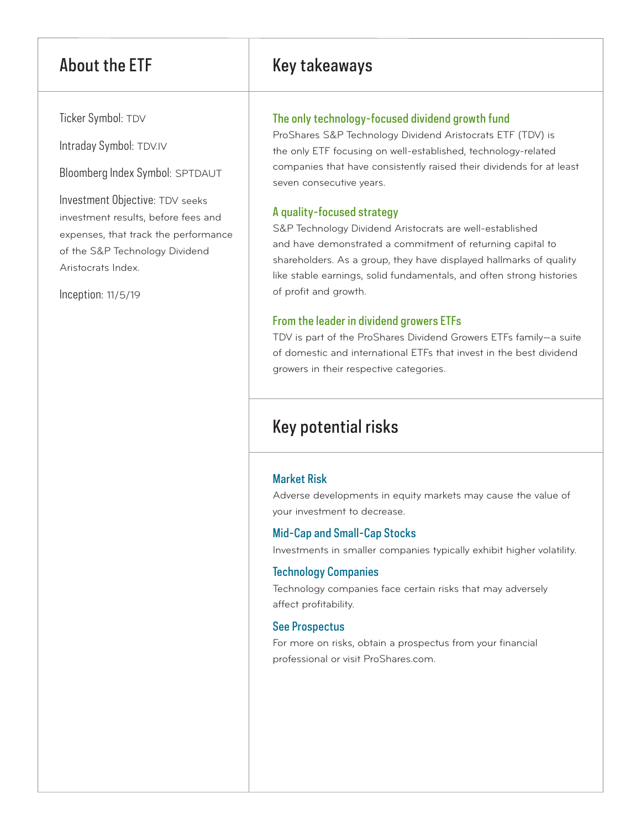Ticker Symbol: TDV

Intraday Symbol: TDV.IV

Bloomberg Index Symbol: SPTDAUT

Investment Objective: TDV seeks investment results, before fees and expenses, that track the performance of the S&P Technology Dividend Aristocrats Index.

Inception: 11/5/19

## About the ETF Key takeaways

#### The only technology-focused dividend growth fund

ProShares S&P Technology Dividend Aristocrats ETF (TDV) is the only ETF focusing on well-established, technology-related companies that have consistently raised their dividends for at least seven consecutive years.

#### A quality-focused strategy

S&P Technology Dividend Aristocrats are well-established and have demonstrated a commitment of returning capital to shareholders. As a group, they have displayed hallmarks of quality like stable earnings, solid fundamentals, and often strong histories of profit and growth.

#### From the leader in dividend growers ETFs

TDV is part of the ProShares Dividend Growers ETFs family—a suite of domestic and international ETFs that invest in the best dividend growers in their respective categories.

## Key potential risks

### Market Risk

Adverse developments in equity markets may cause the value of your investment to decrease.

#### Mid-Cap and Small-Cap Stocks

Investments in smaller companies typically exhibit higher volatility.

#### Technology Companies

Technology companies face certain risks that may adversely affect profitability.

#### See Prospectus

For more on risks, obtain a prospectus from your financial professional or visit ProShares.com.